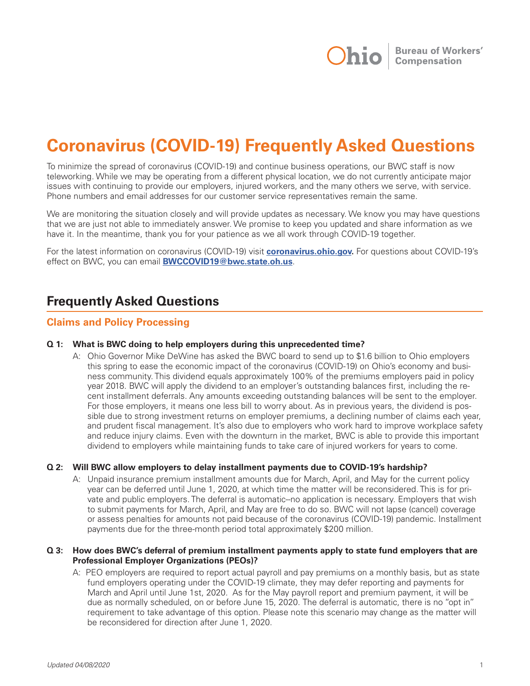

# **Coronavirus (COVID-19) Frequently Asked Questions**

To minimize the spread of coronavirus (COVID-19) and continue business operations, our BWC staff is now teleworking. While we may be operating from a different physical location, we do not currently anticipate major issues with continuing to provide our employers, injured workers, and the many others we serve, with service. Phone numbers and email addresses for our customer service representatives remain the same.

We are monitoring the situation closely and will provide updates as necessary. We know you may have questions that we are just not able to immediately answer. We promise to keep you updated and share information as we have it. In the meantime, thank you for your patience as we all work through COVID-19 together.

For the latest information on coronavirus (COVID-19) visit **coronavirus.ohio.gov.** For questions about COVID-19's effect on BWC, you can email **BWCCOVID19@bwc.state.oh.us**.

## **Frequently Asked Questions**

#### **Claims and Policy Processing**

#### **Q 1: What is BWC doing to help employers during this unprecedented time?**

A: Ohio Governor Mike DeWine has asked the BWC board to send up to \$1.6 billion to Ohio employers this spring to ease the economic impact of the coronavirus (COVID-19) on Ohio's economy and business community. This dividend equals approximately 100% of the premiums employers paid in policy year 2018. BWC will apply the dividend to an employer's outstanding balances first, including the recent installment deferrals. Any amounts exceeding outstanding balances will be sent to the employer. For those employers, it means one less bill to worry about. As in previous years, the dividend is possible due to strong investment returns on employer premiums, a declining number of claims each year, and prudent fiscal management. It's also due to employers who work hard to improve workplace safety and reduce injury claims. Even with the downturn in the market, BWC is able to provide this important dividend to employers while maintaining funds to take care of injured workers for years to come.

#### **Q 2: Will BWC allow employers to delay installment payments due to COVID-19's hardship?**

A: Unpaid insurance premium installment amounts due for March, April, and May for the current policy year can be deferred until June 1, 2020, at which time the matter will be reconsidered. This is for private and public employers. The deferral is automatic--no application is necessary. Employers that wish to submit payments for March, April, and May are free to do so. BWC will not lapse (cancel) coverage or assess penalties for amounts not paid because of the coronavirus (COVID-19) pandemic. Installment payments due for the three-month period total approximately \$200 million.

#### **Q 3: How does BWC's deferral of premium installment payments apply to state fund employers that are Professional Employer Organizations (PEOs)?**

A: PEO employers are required to report actual payroll and pay premiums on a monthly basis, but as state fund employers operating under the COVID-19 climate, they may defer reporting and payments for March and April until June 1st, 2020. As for the May payroll report and premium payment, it will be due as normally scheduled, on or before June 15, 2020. The deferral is automatic, there is no "opt in" requirement to take advantage of this option. Please note this scenario may change as the matter will be reconsidered for direction after June 1, 2020.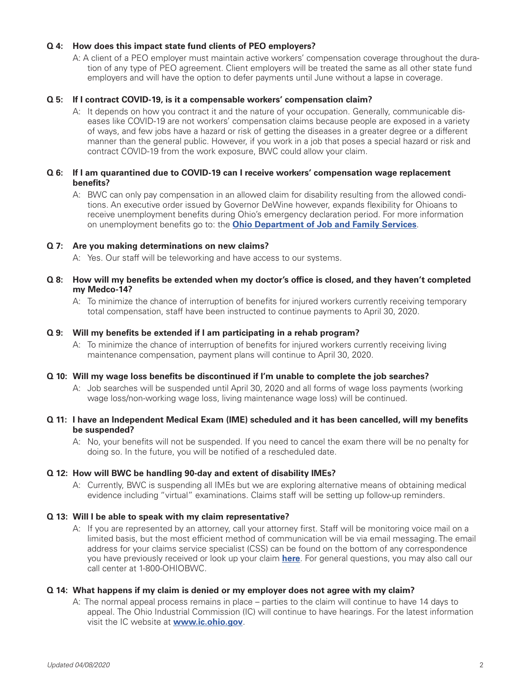#### **Q 4: How does this impact state fund clients of PEO employers?**

A: A client of a PEO employer must maintain active workers' compensation coverage throughout the duration of any type of PEO agreement. Client employers will be treated the same as all other state fund employers and will have the option to defer payments until June without a lapse in coverage.

#### **Q 5: If I contract COVID-19, is it a compensable workers' compensation claim?**

A: It depends on how you contract it and the nature of your occupation. Generally, communicable diseases like COVID-19 are not workers' compensation claims because people are exposed in a variety of ways, and few jobs have a hazard or risk of getting the diseases in a greater degree or a different manner than the general public. However, if you work in a job that poses a special hazard or risk and contract COVID-19 from the work exposure, BWC could allow your claim.

#### **Q 6: If I am quarantined due to COVID-19 can I receive workers' compensation wage replacement benefits?**

A: BWC can only pay compensation in an allowed claim for disability resulting from the allowed conditions. An executive order issued by Governor DeWine however, expands flexibility for Ohioans to receive unemployment benefits during Ohio's emergency declaration period. For more information on unemployment benefits go to: the **Ohio Department of Job and Family Services**.

#### **Q 7: Are you making determinations on new claims?**

A: Yes. Our staff will be teleworking and have access to our systems.

#### **Q 8: How will my benefits be extended when my doctor's office is closed, and they haven't completed my Medco-14?**

A: To minimize the chance of interruption of benefits for injured workers currently receiving temporary total compensation, staff have been instructed to continue payments to April 30, 2020.

#### **Q 9: Will my benefits be extended if I am participating in a rehab program?**

A: To minimize the chance of interruption of benefits for injured workers currently receiving living maintenance compensation, payment plans will continue to April 30, 2020.

#### **Q 10: Will my wage loss benefits be discontinued if I'm unable to complete the job searches?**

A: Job searches will be suspended until April 30, 2020 and all forms of wage loss payments (working wage loss/non-working wage loss, living maintenance wage loss) will be continued.

#### **Q 11: I have an Independent Medical Exam (IME) scheduled and it has been cancelled, will my benefits be suspended?**

A: No, your benefits will not be suspended. If you need to cancel the exam there will be no penalty for doing so. In the future, you will be notified of a rescheduled date.

#### **Q 12: How will BWC be handling 90-day and extent of disability IMEs?**

A: Currently, BWC is suspending all IMEs but we are exploring alternative means of obtaining medical evidence including "virtual" examinations. Claims staff will be setting up follow-up reminders.

#### **Q 13: Will I be able to speak with my claim representative?**

A: If you are represented by an attorney, call your attorney first. Staff will be monitoring voice mail on a limited basis, but the most efficient method of communication will be via email messaging. The email address for your claims service specialist (CSS) can be found on the bottom of any correspondence you have previously received or look up your claim **here**. For general questions, you may also call our call center at 1-800-OHIOBWC.

#### **Q 14: What happens if my claim is denied or my employer does not agree with my claim?**

A: The normal appeal process remains in place – parties to the claim will continue to have 14 days to appeal. The Ohio Industrial Commission (IC) will continue to have hearings. For the latest information visit the IC website at **www.ic.ohio.gov**.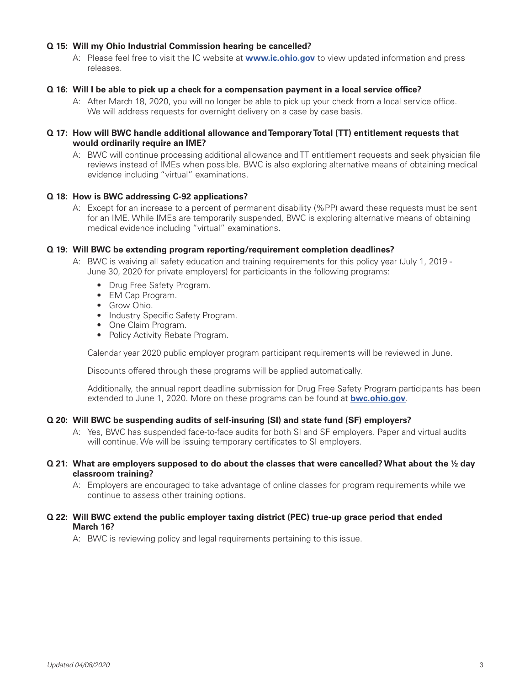#### **Q 15: Will my Ohio Industrial Commission hearing be cancelled?**

A: Please feel free to visit the IC website at **www.ic.ohio.gov** to view updated information and press releases.

#### **Q 16: Will I be able to pick up a check for a compensation payment in a local service office?**

A: After March 18, 2020, you will no longer be able to pick up your check from a local service office. We will address requests for overnight delivery on a case by case basis.

#### **Q 17: How will BWC handle additional allowance and Temporary Total (TT) entitlement requests that would ordinarily require an IME?**

A: BWC will continue processing additional allowance and TT entitlement requests and seek physician file reviews instead of IMEs when possible. BWC is also exploring alternative means of obtaining medical evidence including "virtual" examinations.

#### **Q 18: How is BWC addressing C-92 applications?**

A: Except for an increase to a percent of permanent disability (%PP) award these requests must be sent for an IME. While IMEs are temporarily suspended, BWC is exploring alternative means of obtaining medical evidence including "virtual" examinations.

#### **Q 19: Will BWC be extending program reporting/requirement completion deadlines?**

- A: BWC is waiving all safety education and training requirements for this policy year (July 1, 2019 June 30, 2020 for private employers) for participants in the following programs:
	- Drug Free Safety Program.
	- EM Cap Program.
	- Grow Ohio.
	- Industry Specific Safety Program.
	- One Claim Program.
	- Policy Activity Rebate Program.

Calendar year 2020 public employer program participant requirements will be reviewed in June.

Discounts offered through these programs will be applied automatically.

 Additionally, the annual report deadline submission for Drug Free Safety Program participants has been extended to June 1, 2020. More on these programs can be found at **bwc.ohio.gov**.

#### **Q 20: Will BWC be suspending audits of self-insuring (SI) and state fund (SF) employers?**

A: Yes, BWC has suspended face-to-face audits for both SI and SF employers. Paper and virtual audits will continue. We will be issuing temporary certificates to SI employers.

#### **Q 21: What are employers supposed to do about the classes that were cancelled? What about the ½ day classroom training?**

A: Employers are encouraged to take advantage of online classes for program requirements while we continue to assess other training options.

#### **Q 22: Will BWC extend the public employer taxing district (PEC) true-up grace period that ended March 16?**

A: BWC is reviewing policy and legal requirements pertaining to this issue.